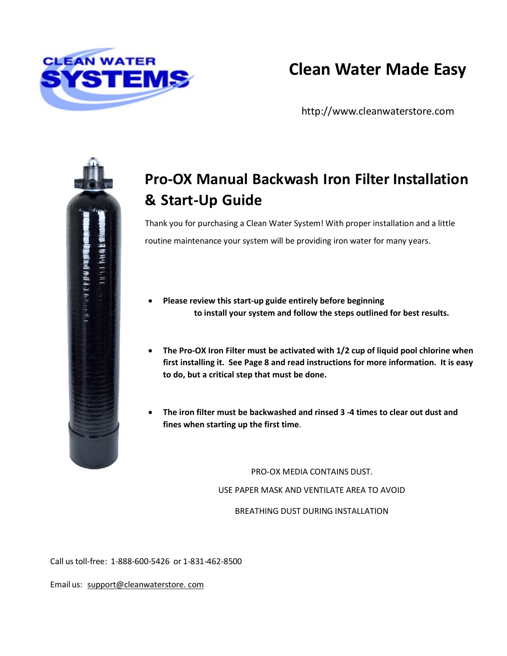

# **Clean Water Made Easy**

[http://www.cleanwaterstore.com](http://www.cleanwaterstore.com/)

# **新州市 平和 平和 相和**

# **Pro-OX Manual Backwash Iron Filter Installation & Start-Up Guide**

Thank you for purchasing a Clean Water System! With proper installation and a little routine maintenance your system will be providing iron water for many years.

- **Please review this start-up guide entirely before beginning to install your system and follow the steps outlined for best results.**
- **The Pro-OX Iron Filter must be activated with 1/2 cup of liquid pool chlorine when first installing it. See Page 8 and read instructions for more information. It is easy to do, but a critical step that must be done.**
- **The iron filter must be backwashed and rinsed 3 -4 times to clear out dust and fines when starting up the first time**.

PRO-OX MEDIA CONTAINS DUST.

USE PAPER MASK AND VENTILATE AREA TO AVOID

BREATHING DUST DURING INSTALLATION

Call ustoll-free: 1-888-600-5426 or 1-831-462-8500

Email us: [support@cleanwaterstore.](mailto:support@cleanwaterstore.com) com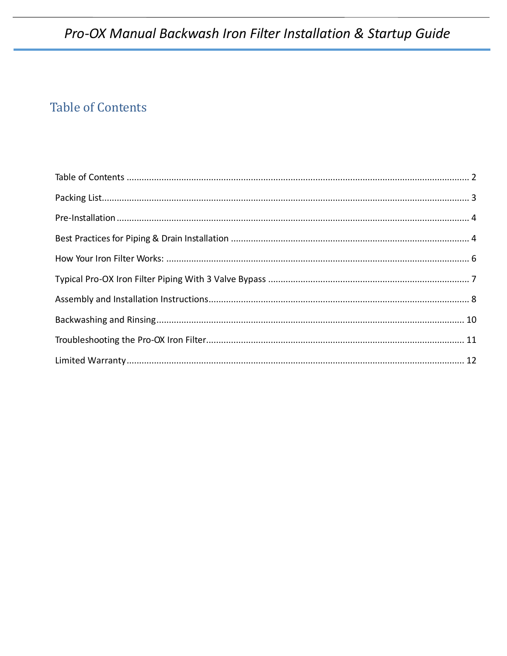# <span id="page-1-0"></span>**Table of Contents**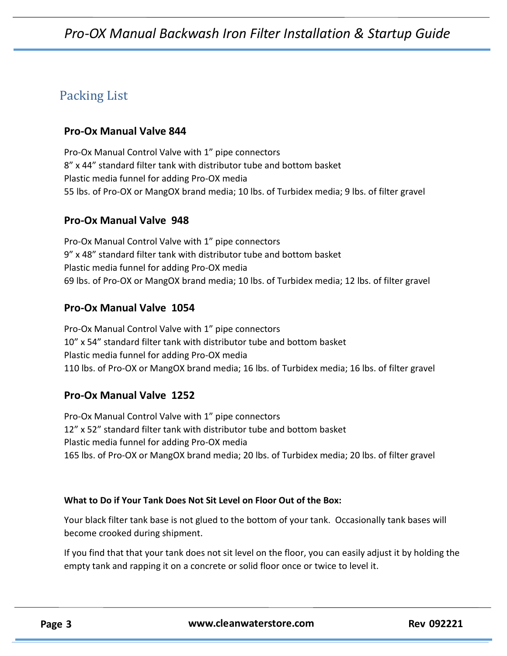## <span id="page-2-0"></span>Packing List

#### **Pro-Ox Manual Valve 844**

Pro-Ox Manual Control Valve with 1" pipe connectors 8" x 44" standard filter tank with distributor tube and bottom basket Plastic media funnel for adding Pro-OX media 55 lbs. of Pro-OX or MangOX brand media; 10 lbs. of Turbidex media; 9 lbs. of filter gravel

#### **Pro-Ox Manual Valve 948**

Pro-Ox Manual Control Valve with 1" pipe connectors 9" x 48" standard filter tank with distributor tube and bottom basket Plastic media funnel for adding Pro-OX media 69 lbs. of Pro-OX or MangOX brand media; 10 lbs. of Turbidex media; 12 lbs. of filter gravel

#### **Pro-Ox Manual Valve 1054**

Pro-Ox Manual Control Valve with 1" pipe connectors 10" x 54" standard filter tank with distributor tube and bottom basket Plastic media funnel for adding Pro-OX media 110 lbs. of Pro-OX or MangOX brand media; 16 lbs. of Turbidex media; 16 lbs. of filter gravel

#### **Pro-Ox Manual Valve 1252**

Pro-Ox Manual Control Valve with 1" pipe connectors 12" x 52" standard filter tank with distributor tube and bottom basket Plastic media funnel for adding Pro-OX media 165 lbs. of Pro-OX or MangOX brand media; 20 lbs. of Turbidex media; 20 lbs. of filter gravel

#### **What to Do if Your Tank Does Not Sit Level on Floor Out of the Box:**

Your black filter tank base is not glued to the bottom of your tank. Occasionally tank bases will become crooked during shipment.

If you find that that your tank does not sit level on the floor, you can easily adjust it by holding the empty tank and rapping it on a concrete or solid floor once or twice to level it.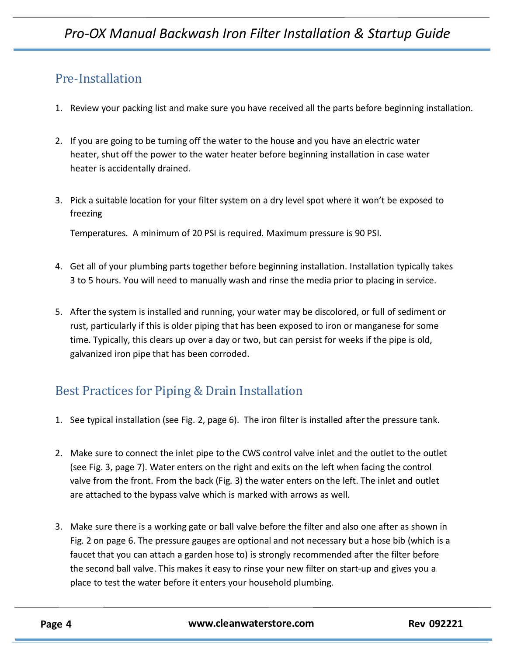## <span id="page-3-0"></span>Pre‐Installation

- 1. Review your packing list and make sure you have received all the parts before beginning installation.
- 2. If you are going to be turning off the water to the house and you have an electric water heater, shut off the power to the water heater before beginning installation in case water heater is accidentally drained.
- 3. Pick a suitable location for your filter system on a dry level spot where it won't be exposed to freezing

Temperatures. A minimum of 20 PSI is required. Maximum pressure is 90 PSI.

- 4. Get all of your plumbing parts together before beginning installation. Installation typically takes 3 to 5 hours. You will need to manually wash and rinse the media prior to placing in service.
- 5. After the system is installed and running, your water may be discolored, or full of sediment or rust, particularly if this is older piping that has been exposed to iron or manganese for some time. Typically, this clears up over a day or two, but can persist for weeks if the pipe is old, galvanized iron pipe that has been corroded.

# <span id="page-3-1"></span>Best Practices for Piping & Drain Installation

- 1. See typical installation (see Fig. 2, page 6). The iron filter is installed afterthe pressure tank.
- 2. Make sure to connect the inlet pipe to the CWS control valve inlet and the outlet to the outlet (see Fig. 3, page 7). Water enters on the right and exits on the left when facing the control valve from the front. From the back (Fig. 3) the water enters on the left. The inlet and outlet are attached to the bypass valve which is marked with arrows as well.
- 3. Make sure there is a working gate or ball valve before the filter and also one after as shown in Fig. 2 on page 6. The pressure gauges are optional and not necessary but a hose bib (which is a faucet that you can attach a garden hose to) is strongly recommended after the filter before the second ball valve. This makes it easy to rinse your new filter on start-up and gives you a place to test the water before it enters your household plumbing.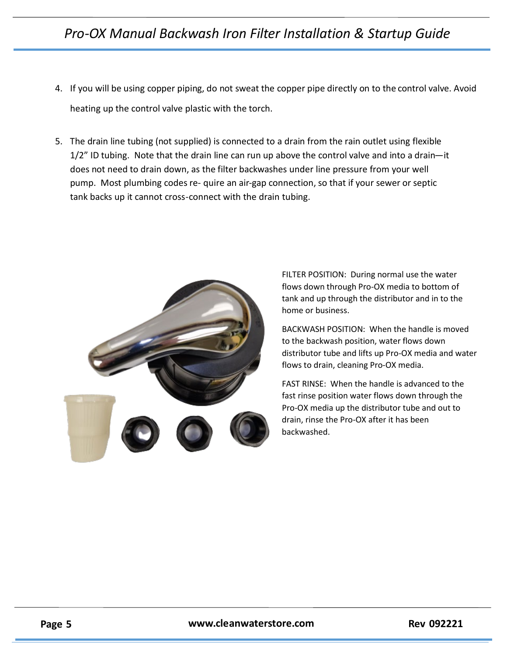- 4. If you will be using copper piping, do not sweat the copper pipe directly on to the control valve. Avoid heating up the control valve plastic with the torch.
- 5.The drain line tubing (not supplied) is connected to a drain from the rain outlet using flexible 1/2" ID tubing. Note that the drain line can run up above the control valve and into a drain—it does not need to drain down, as the filter backwashes under line pressure from your well pump. Most plumbing codes re- quire an air-gap connection, so that if your sewer or septic tank backs up it cannot cross-connect with the drain tubing.



FILTER POSITION: During normal use the water flows down through Pro-OX media to bottom of tank and up through the distributor and in to the home or business.

BACKWASH POSITION: When the handle is moved to the backwash position, water flows down distributor tube and lifts up Pro-OX media and water flows to drain, cleaning Pro-OX media.

FAST RINSE: When the handle is advanced to the fast rinse position water flows down through the Pro-OX media up the distributor tube and out to drain, rinse the Pro-OX after it has been backwashed.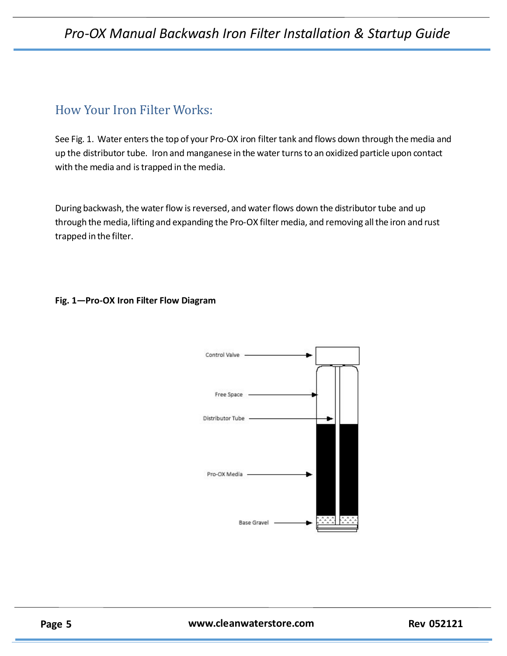#### <span id="page-5-0"></span>How Your Iron Filter Works:

See Fig. 1. Water enters the top of your Pro-OX iron filter tank and flows down through the media and up the distributor tube. Iron and manganese in the water turns to an oxidized particle upon contact with the media and is trapped in the media.

During backwash, the water flow is reversed, and water flows down the distributor tube and up through the media, lifting and expanding the Pro-OX filter media, and removing all the iron and rust trapped in the filter.

#### **Fig. 1—Pro-OX Iron Filter Flow Diagram**

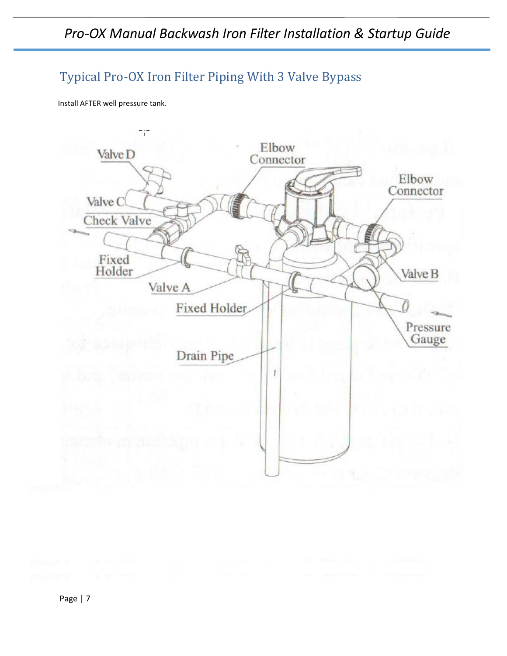## <span id="page-6-0"></span>Typical Pro-OX Iron Filter Piping With 3 Valve Bypass

Install AFTER well pressure tank.

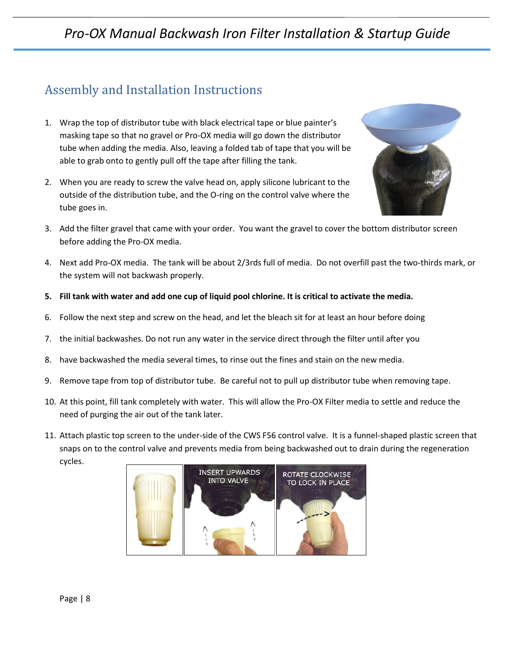# <span id="page-7-0"></span>Assembly and Installation Instructions

- 1. Wrap the top of distributor tube with black electrical tape or blue painter's masking tape so that no gravel or Pro-OX media will go down the distributor tube when adding the media. Also, leaving a folded tab of tape that you will be able to grab onto to gently pull off the tape after filling the tank.
- 2. When you are ready to screw the valve head on, apply silicone lubricant to the outside of the distribution tube, and the O-ring on the control valve where the tube goes in.



- 3. Add the filter gravel that came with your order. You want the gravel to cover the bottom distributor screen before adding the Pro-OX media.
- 4. Next add Pro-OX media. The tank will be about 2/3rds full of media. Do not overfill past the two-thirds mark, or the system will not backwash properly.
- **5. Fill tank with water and add one cup of liquid pool chlorine. It is critical to activate the media.**
- 6. Follow the next step and screw on the head, and let the bleach sit for at least an hour before doing
- 7. the initial backwashes. Do not run any water in the service direct through the filter until after you
- 8. have backwashed the media several times, to rinse out the fines and stain on the new media.
- 9. Remove tape from top of distributor tube. Be careful not to pull up distributor tube when removing tape.
- 10. At this point, fill tank completely with water. This will allow the Pro-OX Filter media to settle and reduce the need of purging the air out of the tank later.
- 11. Attach plastic top screen to the under-side of the CWS F56 control valve. It is a funnel-shaped plastic screen that snaps on to the control valve and prevents media from being backwashed out to drain during the regeneration cycles.

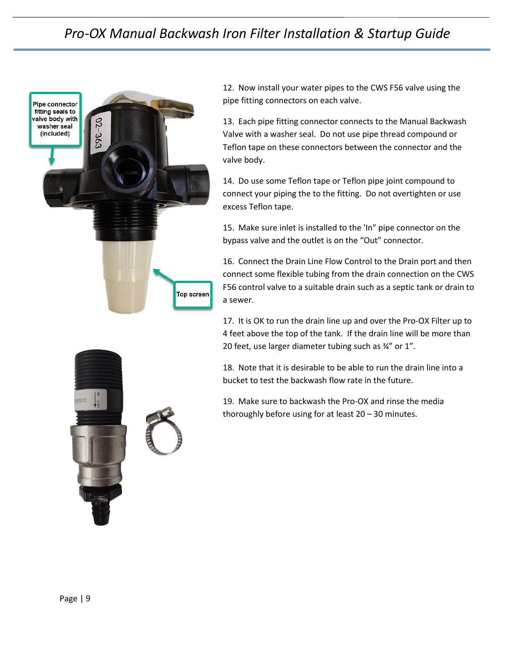

12. Now install your water pipes to the CWS F56 valve using the pipe fitting connectors on each valve.

13. Each pipe fitting connector connects to the Manual Backwash Valve with a washer seal. Do not use pipe thread compound or Teflon tape on these connectors between the connector and the valve body.

14. Do use some Teflon tape or Teflon pipe joint compound to connect your piping the to the fitting. Do not overtighten or use excess Teflon tape.

15. Make sure inlet is installed to the 'In" pipe connector on the bypass valve and the outlet is on the "Out" connector.

16. Connect the Drain Line Flow Control to the Drain port and then connect some flexible tubing from the drain connection on the CWS F56 control valve to a suitable drain such as a septic tank or drain to a sewer.

17. It is OK to run the drain line up and over the Pro-OX Filter up to 4 feet above the top of the tank. If the drain line will be more than 20 feet, use larger diameter tubing such as ¾" or 1".

18. Note that it is desirable to be able to run the drain line into a bucket to test the backwash flow rate in the future.

19. Make sure to backwash the Pro-OX and rinse the media thoroughly before using for at least 20 – 30 minutes.

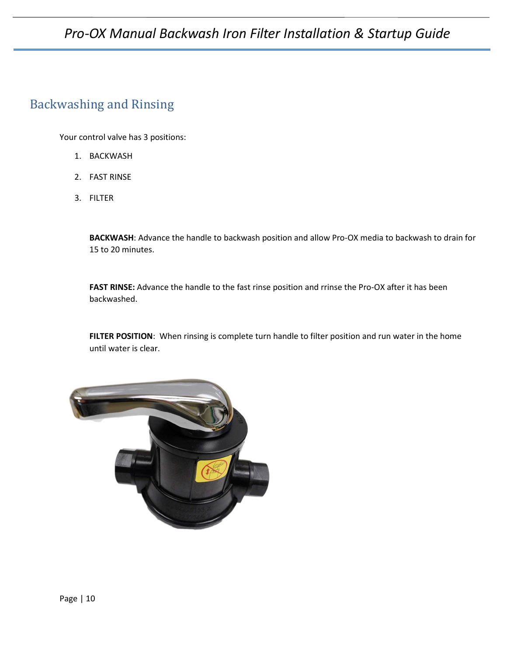#### <span id="page-9-0"></span>Backwashing and Rinsing

Your control valve has 3 positions:

- 1. BACKWASH
- 2. FAST RINSE
- 3. FILTER

**BACKWASH**: Advance the handle to backwash position and allow Pro-OX media to backwash to drain for 15 to 20 minutes.

**FAST RINSE:** Advance the handle to the fast rinse position and rrinse the Pro-OX after it has been backwashed.

**FILTER POSITION**: When rinsing is complete turn handle to filter position and run water in the home until water is clear.

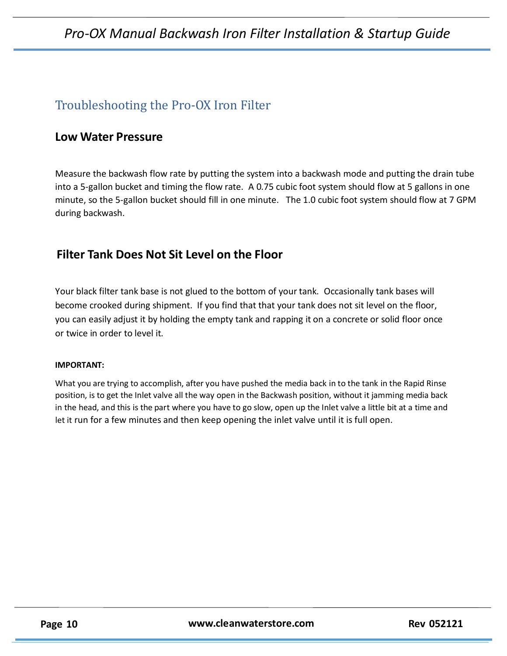# <span id="page-10-0"></span>Troubleshooting the Pro-OX Iron Filter

#### **Low Water Pressure**

Measure the backwash flow rate by putting the system into a backwash mode and putting the drain tube into a 5-gallon bucket and timing the flow rate. A 0.75 cubic foot system should flow at 5 gallons in one minute, so the 5-gallon bucket should fill in one minute. The 1.0 cubic foot system should flow at 7 GPM during backwash.

#### **Filter Tank Does Not Sit Level on the Floor**

Your black filter tank base is not glued to the bottom of your tank. Occasionally tank bases will become crooked during shipment. If you find that that your tank does not sit level on the floor, you can easily adjust it by holding the empty tank and rapping it on a concrete or solid floor once or twice in order to level it.

#### **IMPORTANT:**

What you are trying to accomplish, after you have pushed the media back in to the tank in the Rapid Rinse position, is to get the Inlet valve all the way open in the Backwash position, without it jamming media back in the head, and this is the part where you have to go slow, open up the Inlet valve a little bit at a time and let it run for a few minutes and then keep opening the inlet valve until it is full open.